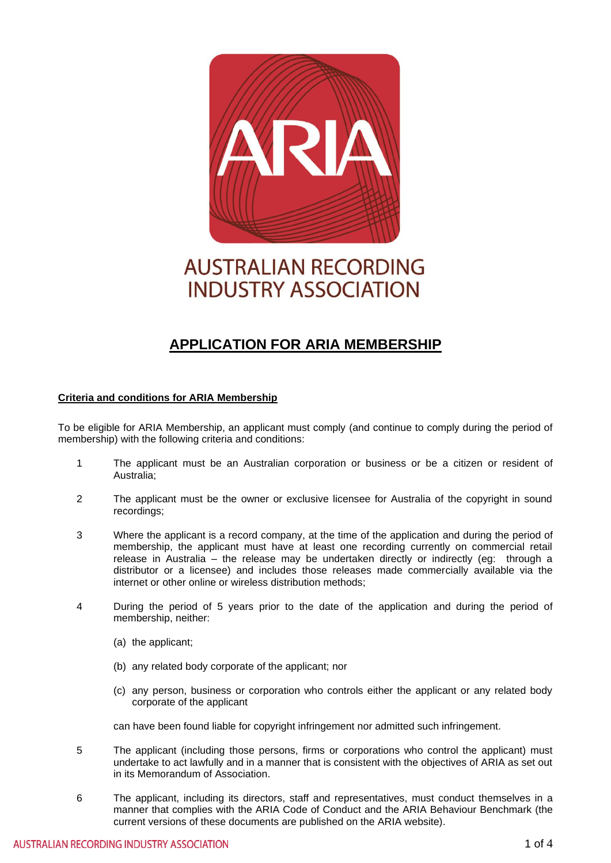

# **AUSTRALIAN RECORDING INDUSTRY ASSOCIATION**

## **APPLICATION FOR ARIA MEMBERSHIP**

#### **Criteria and conditions for ARIA Membership**

To be eligible for ARIA Membership, an applicant must comply (and continue to comply during the period of membership) with the following criteria and conditions:

- 1 The applicant must be an Australian corporation or business or be a citizen or resident of Australia;
- 2 The applicant must be the owner or exclusive licensee for Australia of the copyright in sound recordings;
- 3 Where the applicant is a record company, at the time of the application and during the period of membership, the applicant must have at least one recording currently on commercial retail release in Australia – the release may be undertaken directly or indirectly (eg: through a distributor or a licensee) and includes those releases made commercially available via the internet or other online or wireless distribution methods;
- 4 During the period of 5 years prior to the date of the application and during the period of membership, neither:
	- (a) the applicant;
	- (b) any related body corporate of the applicant; nor
	- (c) any person, business or corporation who controls either the applicant or any related body corporate of the applicant

can have been found liable for copyright infringement nor admitted such infringement.

- 5 The applicant (including those persons, firms or corporations who control the applicant) must undertake to act lawfully and in a manner that is consistent with the objectives of ARIA as set out in its Memorandum of Association.
- 6 The applicant, including its directors, staff and representatives, must conduct themselves in a manner that complies with the ARIA Code of Conduct and the ARIA Behaviour Benchmark (the current versions of these documents are published on the ARIA website).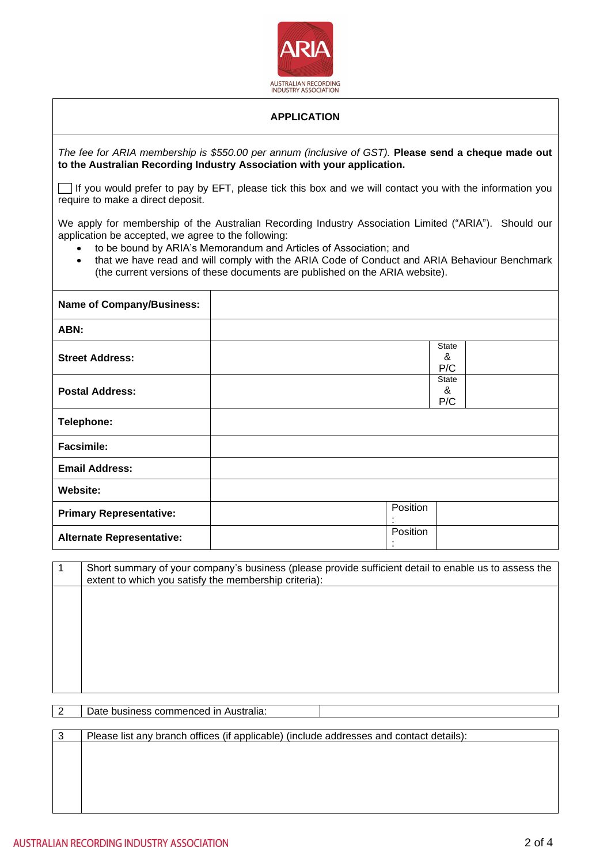

### **APPLICATION**

*The fee for ARIA membership is \$550.00 per annum (inclusive of GST).* **Please send a cheque made out to the Australian Recording Industry Association with your application.** 

 $\Box$  If you would prefer to pay by EFT, please tick this box and we will contact you with the information you require to make a direct deposit.

We apply for membership of the Australian Recording Industry Association Limited ("ARIA"). Should our application be accepted, we agree to the following:

- to be bound by ARIA's Memorandum and Articles of Association; and
- that we have read and will comply with the ARIA Code of Conduct and ARIA Behaviour Benchmark (the current versions of these documents are published on the ARIA website).

| <b>Name of Company/Business:</b> |               |                          |
|----------------------------------|---------------|--------------------------|
| ABN:                             |               |                          |
| <b>Street Address:</b>           |               | <b>State</b><br>&<br>P/C |
| <b>Postal Address:</b>           |               | <b>State</b><br>&<br>P/C |
| Telephone:                       |               |                          |
| <b>Facsimile:</b>                |               |                          |
| <b>Email Address:</b>            |               |                          |
| <b>Website:</b>                  |               |                          |
| <b>Primary Representative:</b>   | Position      |                          |
| <b>Alternate Representative:</b> | Position<br>٠ |                          |

1 Short summary of your company's business (please provide sufficient detail to enable us to assess the extent to which you satisfy the membership criteria):

2 | Date business commenced in Australia:

| -3 | Please list any branch offices (if applicable) (include addresses and contact details): |
|----|-----------------------------------------------------------------------------------------|
|    |                                                                                         |
|    |                                                                                         |
|    |                                                                                         |
|    |                                                                                         |
|    |                                                                                         |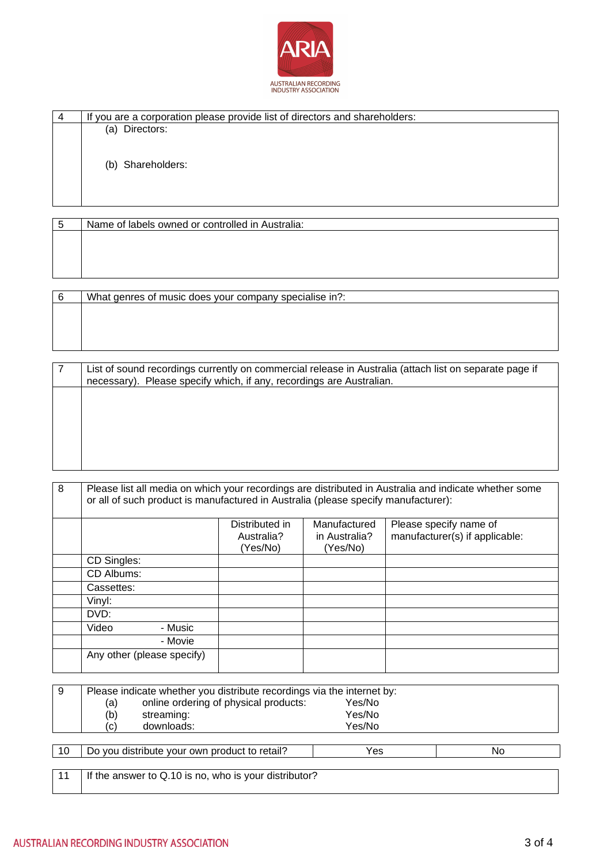

| If you are a corporation please provide list of directors and shareholders: |
|-----------------------------------------------------------------------------|
| Directors:<br>(a)                                                           |
| (b) Shareholders:                                                           |

| Name of labels owned or controlled in Australia:       |
|--------------------------------------------------------|
|                                                        |
|                                                        |
|                                                        |
|                                                        |
|                                                        |
| What genres of music does your company specialise in?: |

| List of sound recordings currently on commercial release in Australia (attach list on separate page if |
|--------------------------------------------------------------------------------------------------------|
| necessary). Please specify which, if any, recordings are Australian.                                   |
|                                                                                                        |
|                                                                                                        |
|                                                                                                        |
|                                                                                                        |
|                                                                                                        |
|                                                                                                        |
|                                                                                                        |
|                                                                                                        |
|                                                                                                        |

| 8 | Please list all media on which your recordings are distributed in Australia and indicate whether some<br>or all of such product is manufactured in Australia (please specify manufacturer): |         |                                          |                                           |                                                          |
|---|---------------------------------------------------------------------------------------------------------------------------------------------------------------------------------------------|---------|------------------------------------------|-------------------------------------------|----------------------------------------------------------|
|   |                                                                                                                                                                                             |         | Distributed in<br>Australia?<br>(Yes/No) | Manufactured<br>in Australia?<br>(Yes/No) | Please specify name of<br>manufacturer(s) if applicable: |
|   | CD Singles:                                                                                                                                                                                 |         |                                          |                                           |                                                          |
|   | CD Albums:                                                                                                                                                                                  |         |                                          |                                           |                                                          |
|   | Cassettes:                                                                                                                                                                                  |         |                                          |                                           |                                                          |
|   | Vinyl:                                                                                                                                                                                      |         |                                          |                                           |                                                          |
|   | DVD:                                                                                                                                                                                        |         |                                          |                                           |                                                          |
|   | Video                                                                                                                                                                                       | - Music |                                          |                                           |                                                          |
|   |                                                                                                                                                                                             | - Movie |                                          |                                           |                                                          |
|   | Any other (please specify)                                                                                                                                                                  |         |                                          |                                           |                                                          |
|   |                                                                                                                                                                                             |         |                                          |                                           |                                                          |

| 9  | Please indicate whether you distribute recordings via the internet by: |        |    |
|----|------------------------------------------------------------------------|--------|----|
|    | online ordering of physical products:<br>(a)                           | Yes/No |    |
|    | (b)<br>streaming:                                                      | Yes/No |    |
|    | downloads:<br>$\left( \mathrm{c}\right)$                               | Yes/No |    |
|    |                                                                        |        |    |
| 10 | Do you distribute your own product to retail?                          | Yes    | No |
|    |                                                                        |        |    |
| 11 | If the answer to Q.10 is no, who is your distributor?                  |        |    |